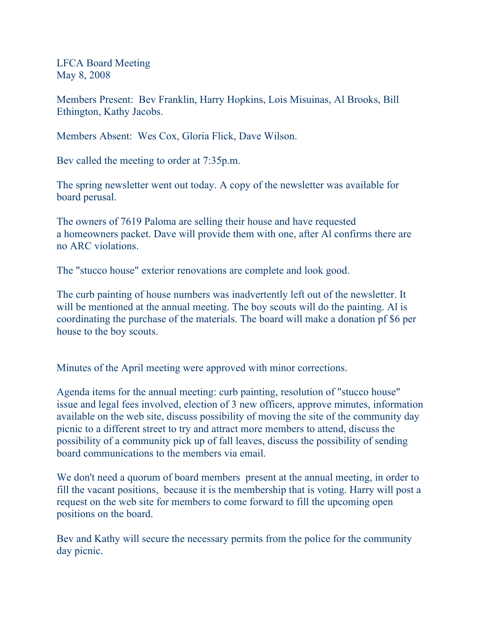LFCA Board Meeting May 8, 2008

Members Present: Bev Franklin, Harry Hopkins, Lois Misuinas, Al Brooks, Bill Ethington, Kathy Jacobs.

Members Absent: Wes Cox, Gloria Flick, Dave Wilson.

Bev called the meeting to order at 7:35p.m.

The spring newsletter went out today. A copy of the newsletter was available for board perusal.

The owners of 7619 Paloma are selling their house and have requested a homeowners packet. Dave will provide them with one, after Al confirms there are no ARC violations.

The "stucco house" exterior renovations are complete and look good.

The curb painting of house numbers was inadvertently left out of the newsletter. It will be mentioned at the annual meeting. The boy scouts will do the painting. Al is coordinating the purchase of the materials. The board will make a donation pf \$6 per house to the boy scouts.

Minutes of the April meeting were approved with minor corrections.

Agenda items for the annual meeting: curb painting, resolution of "stucco house" issue and legal fees involved, election of 3 new officers, approve minutes, information available on the web site, discuss possibility of moving the site of the community day picnic to a different street to try and attract more members to attend, discuss the possibility of a community pick up of fall leaves, discuss the possibility of sending board communications to the members via email.

We don't need a quorum of board members present at the annual meeting, in order to fill the vacant positions, because it is the membership that is voting. Harry will post a request on the web site for members to come forward to fill the upcoming open positions on the board.

Bev and Kathy will secure the necessary permits from the police for the community day picnic.